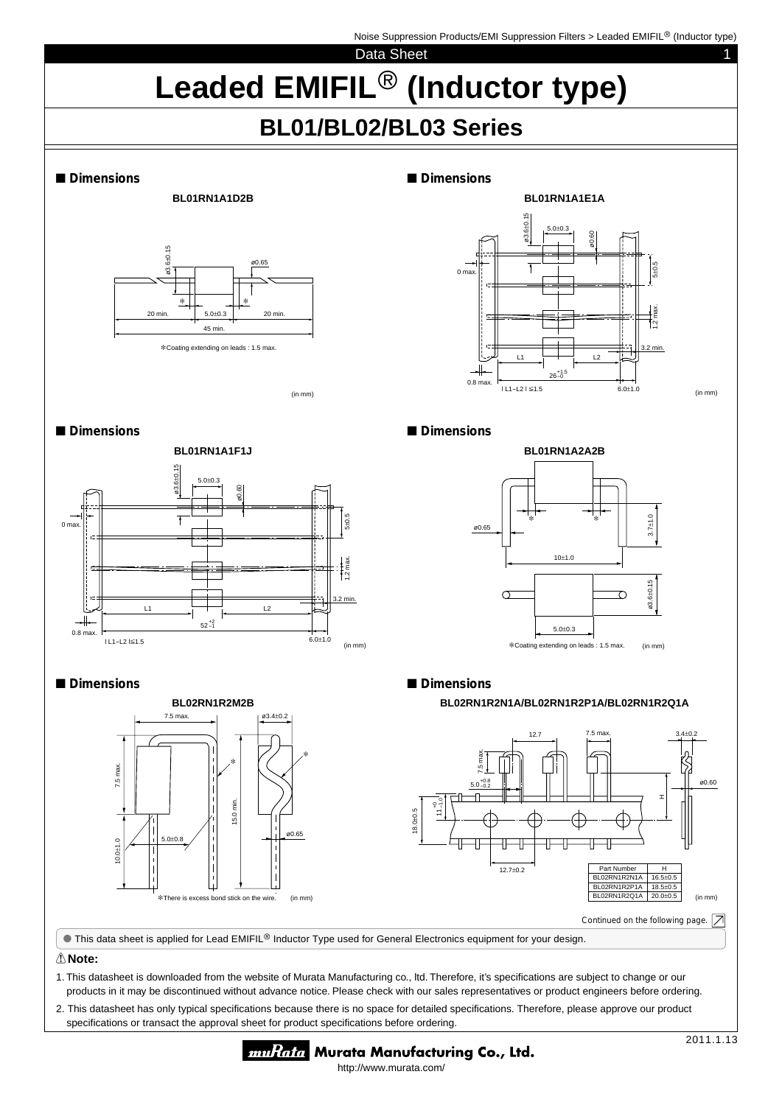Noise Suppression Products/EMI Suppression Filters > Leaded EMIFIL<sup>®</sup> (Inductor type)

1

Data Sheet

# Leaded EMIFIL<sup>®</sup> (Inductor type)

# **BL01/BL02/BL03 Series**





∗Coating extending on leads : 1.5 max.

■ **Dimensions**



(in mm)

■ Dimensions



# ■ **Dimensions**



# ■ Dimensions



# ■ **Dimensions**

## **BL02RN1R2N1A/BL02RN1R2P1A/BL02RN1R2Q1A**



This data sheet is applied for Lead EMIFIL<sup>®</sup> Inductor Type used for General Electronics equipment for your design.

# ! **Note:**

1. This datasheet is downloaded from the website of Murata Manufacturing co., ltd. Therefore, it's specifications are subject to change or our products in it may be discontinued without advance notice. Please check with our sales representatives or product engineers before ordering.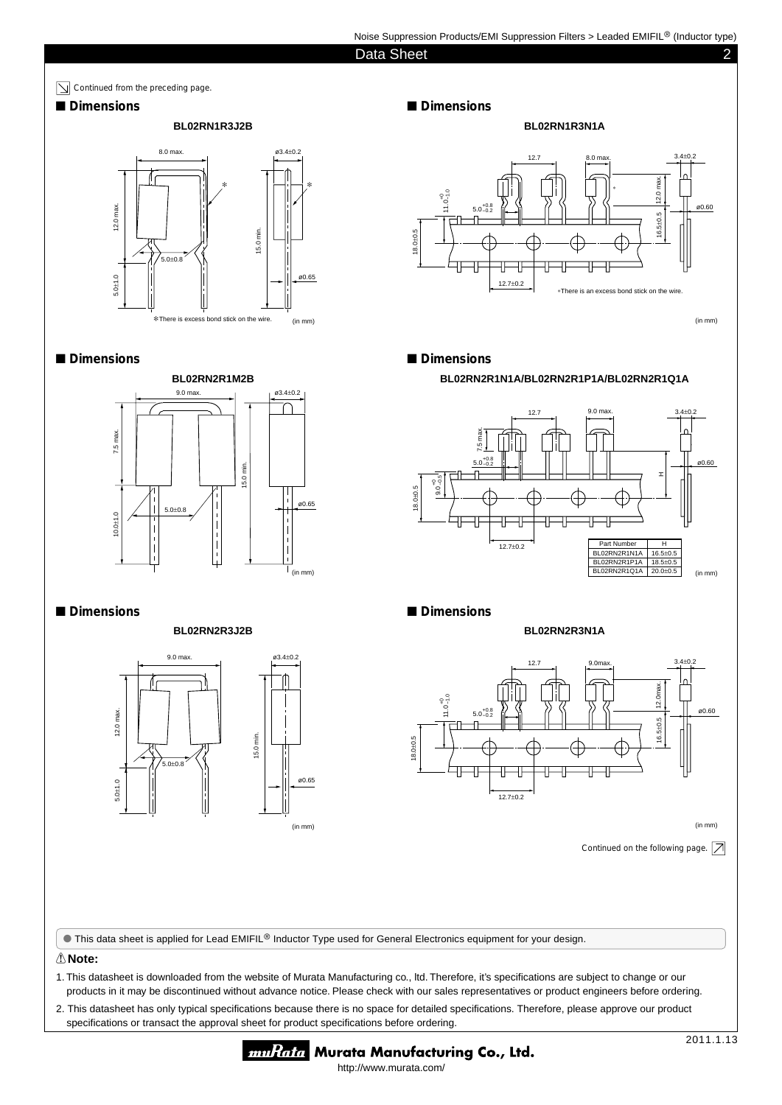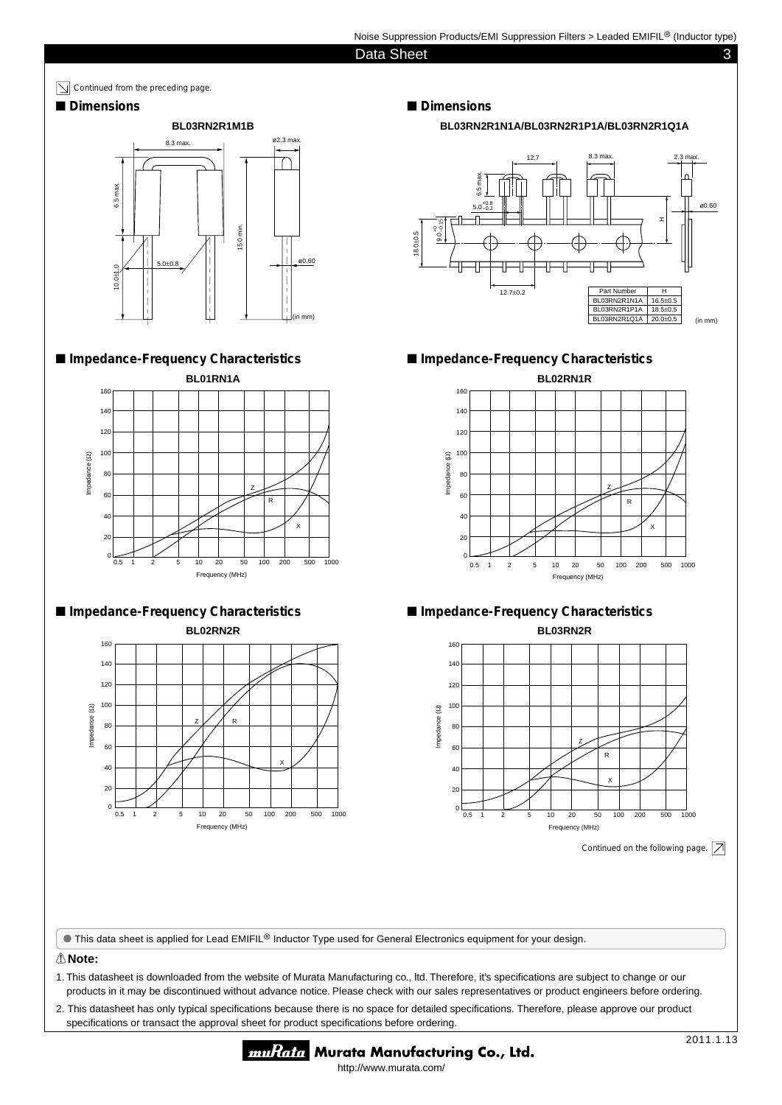